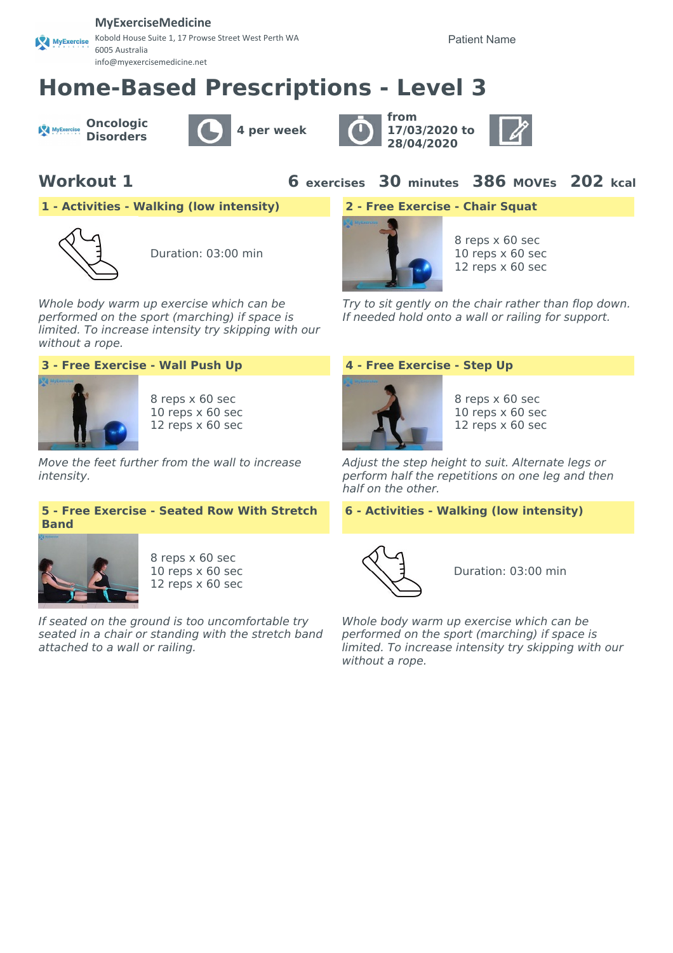### **MyExerciseMedicine**

Kobold House Suite 1, 17 Prowse Street West Perth WA MyExercise 6005 Australia info@myexercisemedicine.net

Patient Name

# **Home-Based Prescriptions - Level 3**

**Oncologic** MyExercise







**Workout 1 6 exercises 30 minutes 386 MOVEs 202 kcal**

**1 - Activities - Walking (low intensity) 2 - Free Exercise - Chair Squat**



Duration: 03:00 min

Whole body warm up exercise which can be performed on the sport (marching) if space is limited. To increase intensity try skipping with our without a rope.



8 reps x 60 sec 10 reps x 60 sec 12 reps x 60 sec

Move the feet further from the wall to increase intensity.

### **5 - Free Exercise - Seated Row With Stretch Band**



8 reps x 60 sec 10 reps x 60 sec 12 reps x 60 sec

If seated on the ground is too uncomfortable try seated in a chair or standing with the stretch band attached to a wall or railing.



8 reps x 60 sec 10 reps x 60 sec 12 reps x 60 sec

Try to sit gently on the chair rather than flop down. If needed hold onto a wall or railing for support.

### **3 - Free Exercise - Wall Push Up 4 - Free Exercise - Step Up**



8 reps x 60 sec 10 reps x 60 sec 12 reps x 60 sec

Adjust the step height to suit. Alternate legs or perform half the repetitions on one leg and then half on the other.

### **6 - Activities - Walking (low intensity)**



Duration: 03:00 min

Whole body warm up exercise which can be performed on the sport (marching) if space is limited. To increase intensity try skipping with our without a rope.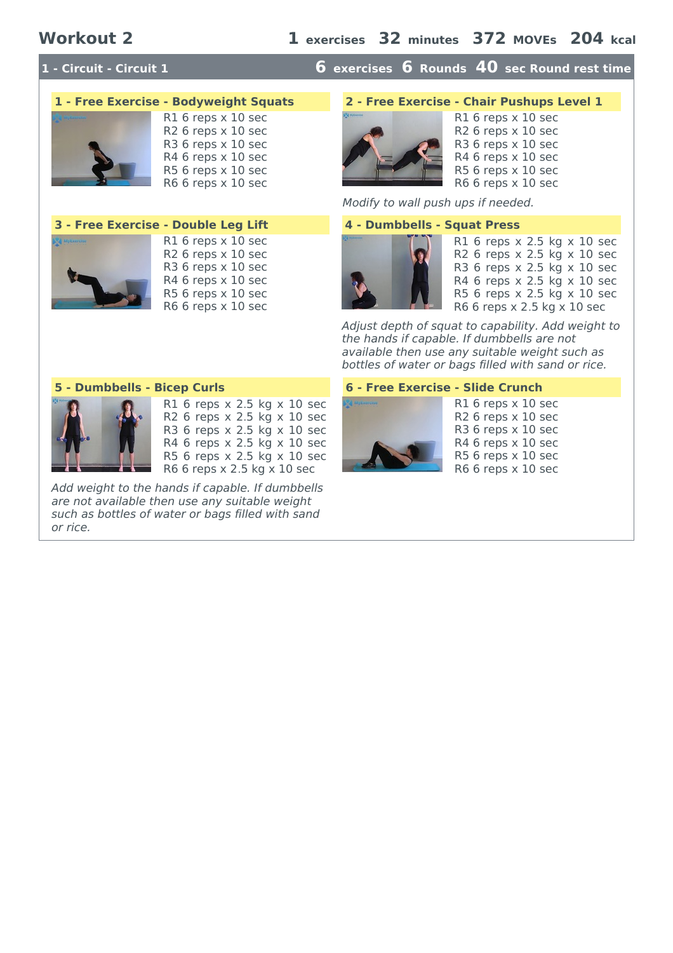# **1 - Circuit - Circuit 1 6 exercises 6 Rounds 40 sec Round rest time**









R1 6 reps x 10 sec R2 6 reps x 10 sec  $R36$  reps  $\times$  10 sec R4 6 reps x 10 sec R5 6 reps x 10 sec R6 6 reps x 10 sec

Modify to wall push ups if needed.



R1 6 reps x 2.5 kg x 10 sec R2 6 reps x 2.5 kg x 10 sec R3 6 reps x 2.5 kg x 10 sec R4 6 reps x 2.5 kg x 10 sec R5 6 reps x 2.5 kg x 10 sec R6 6 reps x 2.5 kg x 10 sec

Adjust depth of squat to capability. Add weight to the hands if capable. If dumbbells are not available then use any suitable weight such as bottles of water or bags filled with sand or rice.



R1 6 reps x 2.5 kg x 10 sec R2 6 reps x 2.5 kg x 10 sec R3 6 reps x 2.5 kg x 10 sec R4 6 reps x 2.5 kg x 10 sec R5 6 reps x 2.5 kg x 10 sec R6 6 reps x 2.5 kg x 10 sec

Add weight to the hands if capable. If dumbbells are not available then use any suitable weight such as bottles of water or bags filled with sand or rice.

### **5 - Dumbbells - Bicep Curls 6 - Free Exercise - Slide Crunch**



R1 6 reps x 10 sec R2 6 reps x 10 sec R3 6 reps x 10 sec R4 6 reps x 10 sec R5 6 reps x 10 sec R6 6 reps x 10 sec